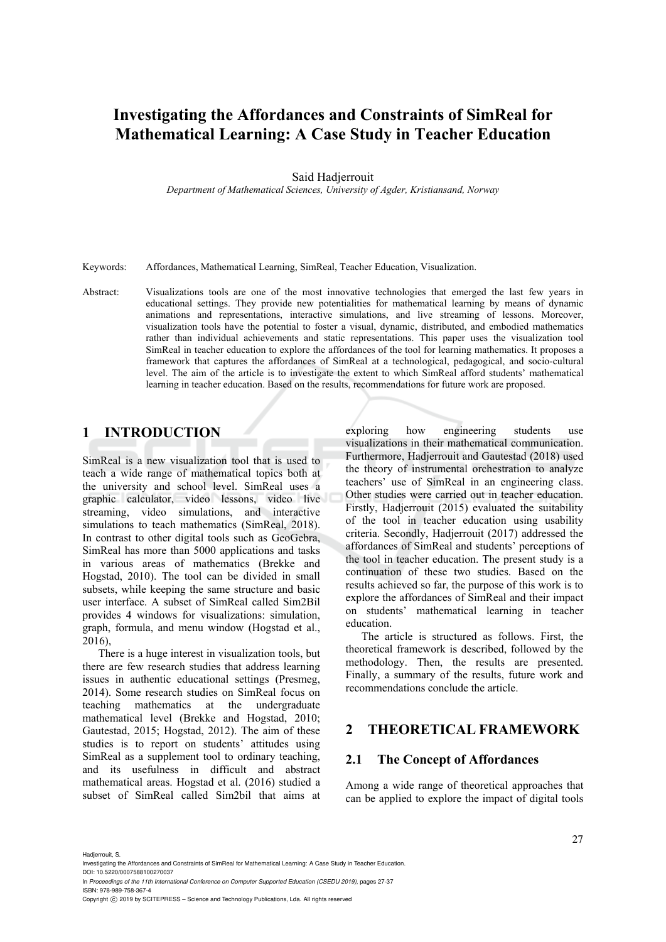# **Investigating the Affordances and Constraints of SimReal for Mathematical Learning: A Case Study in Teacher Education**

#### Said Hadjerrouit

*Department of Mathematical Sciences, University of Agder, Kristiansand, Norway* 

Keywords: Affordances, Mathematical Learning, SimReal, Teacher Education, Visualization.

Abstract: Visualizations tools are one of the most innovative technologies that emerged the last few years in educational settings. They provide new potentialities for mathematical learning by means of dynamic animations and representations, interactive simulations, and live streaming of lessons. Moreover, visualization tools have the potential to foster a visual, dynamic, distributed, and embodied mathematics rather than individual achievements and static representations. This paper uses the visualization tool SimReal in teacher education to explore the affordances of the tool for learning mathematics. It proposes a framework that captures the affordances of SimReal at a technological, pedagogical, and socio-cultural level. The aim of the article is to investigate the extent to which SimReal afford students' mathematical learning in teacher education. Based on the results, recommendations for future work are proposed.

## **1 INTRODUCTION**

SimReal is a new visualization tool that is used to teach a wide range of mathematical topics both at the university and school level. SimReal uses a graphic calculator, video lessons, video live streaming, video simulations, and interactive simulations to teach mathematics (SimReal, 2018). In contrast to other digital tools such as GeoGebra, SimReal has more than 5000 applications and tasks in various areas of mathematics (Brekke and Hogstad, 2010). The tool can be divided in small subsets, while keeping the same structure and basic user interface. A subset of SimReal called Sim2Bil provides 4 windows for visualizations: simulation, graph, formula, and menu window (Hogstad et al., 2016),

There is a huge interest in visualization tools, but there are few research studies that address learning issues in authentic educational settings (Presmeg, 2014). Some research studies on SimReal focus on teaching mathematics at the undergraduate mathematical level (Brekke and Hogstad, 2010; Gautestad, 2015; Hogstad, 2012). The aim of these studies is to report on students' attitudes using SimReal as a supplement tool to ordinary teaching, and its usefulness in difficult and abstract mathematical areas. Hogstad et al. (2016) studied a subset of SimReal called Sim2bil that aims at exploring how engineering students use visualizations in their mathematical communication. Furthermore, Hadjerrouit and Gautestad (2018) used the theory of instrumental orchestration to analyze teachers' use of SimReal in an engineering class. Other studies were carried out in teacher education. Firstly, Hadjerrouit (2015) evaluated the suitability of the tool in teacher education using usability criteria. Secondly, Hadjerrouit (2017) addressed the affordances of SimReal and students' perceptions of the tool in teacher education. The present study is a continuation of these two studies. Based on the results achieved so far, the purpose of this work is to explore the affordances of SimReal and their impact on students' mathematical learning in teacher education.

The article is structured as follows. First, the theoretical framework is described, followed by the methodology. Then, the results are presented. Finally, a summary of the results, future work and recommendations conclude the article.

## **2 THEORETICAL FRAMEWORK**

#### **2.1 The Concept of Affordances**

Among a wide range of theoretical approaches that can be applied to explore the impact of digital tools

Hadjerrouit, S.

Investigating the Affordances and Constraints of SimReal for Mathematical Learning: A Case Study in Teacher Education. DOI: 10.5220/0007588100270037

In *Proceedings of the 11th International Conference on Computer Supported Education (CSEDU 2019)*, pages 27-37 ISBN: 978-989-758-367-4

Copyright © 2019 by SCITEPRESS - Science and Technology Publications, Lda. All rights reserved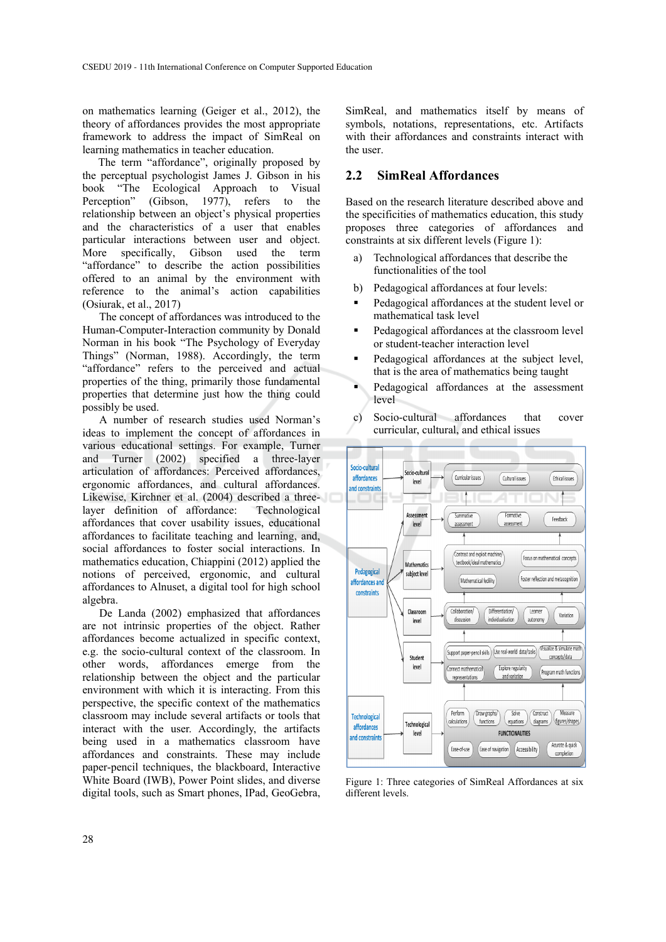on mathematics learning (Geiger et al., 2012), the theory of affordances provides the most appropriate framework to address the impact of SimReal on learning mathematics in teacher education.

The term "affordance", originally proposed by the perceptual psychologist James J. Gibson in his book "The Ecological Approach to Visual Perception" (Gibson, 1977), refers to the relationship between an object's physical properties and the characteristics of a user that enables particular interactions between user and object.<br>More specifically, Gibson used the term specifically, Gibson used the term "affordance" to describe the action possibilities offered to an animal by the environment with reference to the animal's action capabilities (Osiurak, et al., 2017)

The concept of affordances was introduced to the Human-Computer-Interaction community by Donald Norman in his book "The Psychology of Everyday Things" (Norman, 1988). Accordingly, the term "affordance" refers to the perceived and actual properties of the thing, primarily those fundamental properties that determine just how the thing could possibly be used.

A number of research studies used Norman's ideas to implement the concept of affordances in various educational settings. For example, Turner and Turner (2002) specified a three-layer articulation of affordances: Perceived affordances, ergonomic affordances, and cultural affordances. Likewise, Kirchner et al. (2004) described a threelayer definition of affordance: Technological affordances that cover usability issues, educational affordances to facilitate teaching and learning, and, social affordances to foster social interactions. In mathematics education, Chiappini (2012) applied the notions of perceived, ergonomic, and cultural affordances to Alnuset, a digital tool for high school algebra.

De Landa (2002) emphasized that affordances are not intrinsic properties of the object. Rather affordances become actualized in specific context, e.g. the socio-cultural context of the classroom. In other words, affordances emerge from the relationship between the object and the particular environment with which it is interacting. From this perspective, the specific context of the mathematics classroom may include several artifacts or tools that interact with the user. Accordingly, the artifacts being used in a mathematics classroom have affordances and constraints. These may include paper-pencil techniques, the blackboard, Interactive White Board (IWB), Power Point slides, and diverse digital tools, such as Smart phones, IPad, GeoGebra, SimReal, and mathematics itself by means of symbols, notations, representations, etc. Artifacts with their affordances and constraints interact with the user.

### **2.2 SimReal Affordances**

Based on the research literature described above and the specificities of mathematics education, this study proposes three categories of affordances and constraints at six different levels (Figure 1):

- a) Technological affordances that describe the functionalities of the tool
- b) Pedagogical affordances at four levels:
- Pedagogical affordances at the student level or mathematical task level
- Pedagogical affordances at the classroom level or student-teacher interaction level
- Pedagogical affordances at the subject level, that is the area of mathematics being taught
- Pedagogical affordances at the assessment level



Figure 1: Three categories of SimReal Affordances at six different levels.

c) Socio-cultural affordances that cover curricular, cultural, and ethical issues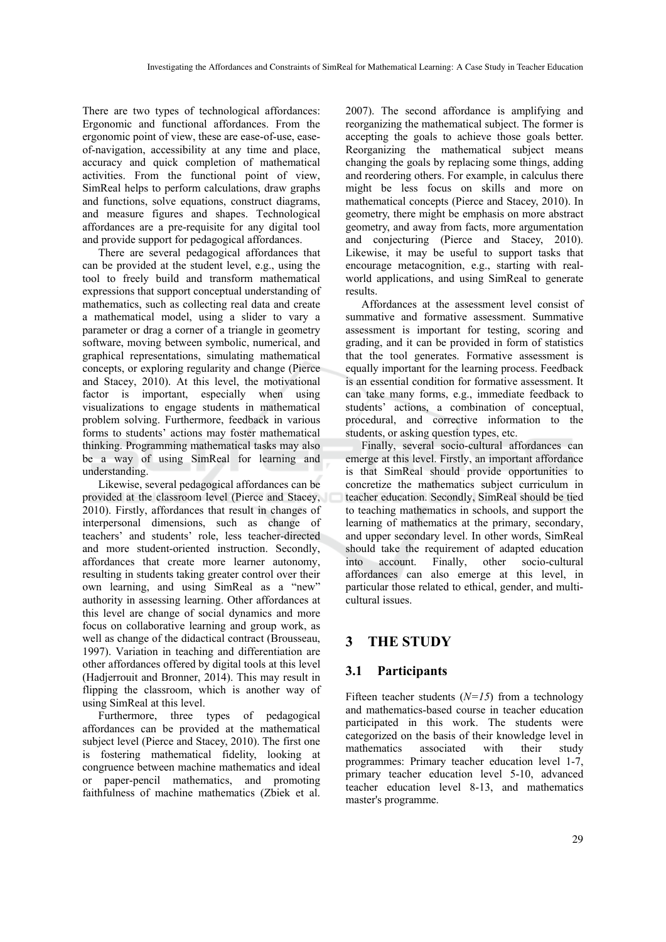There are two types of technological affordances: Ergonomic and functional affordances. From the ergonomic point of view, these are ease-of-use, easeof-navigation, accessibility at any time and place, accuracy and quick completion of mathematical activities. From the functional point of view, SimReal helps to perform calculations, draw graphs and functions, solve equations, construct diagrams, and measure figures and shapes. Technological affordances are a pre-requisite for any digital tool and provide support for pedagogical affordances.

There are several pedagogical affordances that can be provided at the student level, e.g., using the tool to freely build and transform mathematical expressions that support conceptual understanding of mathematics, such as collecting real data and create a mathematical model, using a slider to vary a parameter or drag a corner of a triangle in geometry software, moving between symbolic, numerical, and graphical representations, simulating mathematical concepts, or exploring regularity and change (Pierce and Stacey, 2010). At this level, the motivational factor is important, especially when using visualizations to engage students in mathematical problem solving. Furthermore, feedback in various forms to students' actions may foster mathematical thinking. Programming mathematical tasks may also be a way of using SimReal for learning and understanding.

Likewise, several pedagogical affordances can be provided at the classroom level (Pierce and Stacey, 2010). Firstly, affordances that result in changes of interpersonal dimensions, such as change of teachers' and students' role, less teacher-directed and more student-oriented instruction. Secondly, affordances that create more learner autonomy, resulting in students taking greater control over their own learning, and using SimReal as a "new" authority in assessing learning. Other affordances at this level are change of social dynamics and more focus on collaborative learning and group work, as well as change of the didactical contract (Brousseau, 1997). Variation in teaching and differentiation are other affordances offered by digital tools at this level (Hadjerrouit and Bronner, 2014). This may result in flipping the classroom, which is another way of using SimReal at this level.

Furthermore, three types of pedagogical affordances can be provided at the mathematical subject level (Pierce and Stacey, 2010). The first one is fostering mathematical fidelity, looking at congruence between machine mathematics and ideal or paper-pencil mathematics, and promoting faithfulness of machine mathematics (Zbiek et al. 2007). The second affordance is amplifying and reorganizing the mathematical subject. The former is accepting the goals to achieve those goals better. Reorganizing the mathematical subject means changing the goals by replacing some things, adding and reordering others. For example, in calculus there might be less focus on skills and more on mathematical concepts (Pierce and Stacey, 2010). In geometry, there might be emphasis on more abstract geometry, and away from facts, more argumentation and conjecturing (Pierce and Stacey, 2010). Likewise, it may be useful to support tasks that encourage metacognition, e.g., starting with realworld applications, and using SimReal to generate results.

Affordances at the assessment level consist of summative and formative assessment. Summative assessment is important for testing, scoring and grading, and it can be provided in form of statistics that the tool generates. Formative assessment is equally important for the learning process. Feedback is an essential condition for formative assessment. It can take many forms, e.g., immediate feedback to students' actions, a combination of conceptual, procedural, and corrective information to the students, or asking question types, etc.

Finally, several socio-cultural affordances can emerge at this level. Firstly, an important affordance is that SimReal should provide opportunities to concretize the mathematics subject curriculum in teacher education. Secondly, SimReal should be tied to teaching mathematics in schools, and support the learning of mathematics at the primary, secondary, and upper secondary level. In other words, SimReal should take the requirement of adapted education into account. Finally, other socio-cultural affordances can also emerge at this level, in particular those related to ethical, gender, and multicultural issues.

## **3 THE STUDY**

## **3.1 Participants**

Fifteen teacher students  $(N=15)$  from a technology and mathematics-based course in teacher education participated in this work. The students were categorized on the basis of their knowledge level in mathematics associated with their study programmes: Primary teacher education level 1-7, primary teacher education level 5-10, advanced teacher education level 8-13, and mathematics master's programme.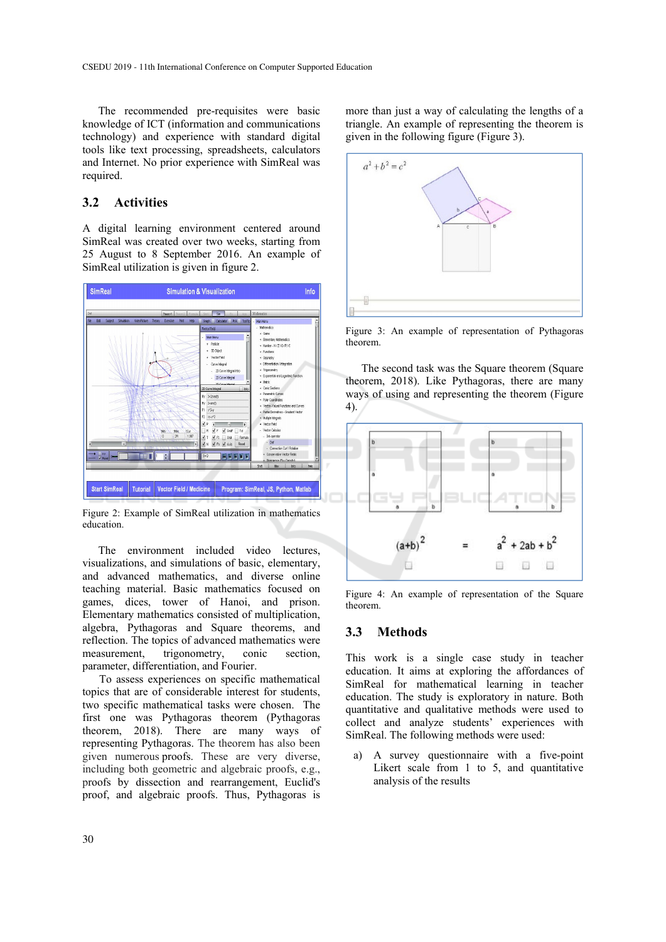The recommended pre-requisites were basic knowledge of ICT (information and communications technology) and experience with standard digital tools like text processing, spreadsheets, calculators and Internet. No prior experience with SimReal was required.

## **3.2 Activities**

A digital learning environment centered around SimReal was created over two weeks, starting from 25 August to 8 September 2016. An example of SimReal utilization is given in figure 2.



Figure 2: Example of SimReal utilization in mathematics education.

The environment included video lectures, visualizations, and simulations of basic, elementary, and advanced mathematics, and diverse online teaching material. Basic mathematics focused on games, dices, tower of Hanoi, and prison. Elementary mathematics consisted of multiplication, algebra, Pythagoras and Square theorems, and reflection. The topics of advanced mathematics were measurement, trigonometry, conic section, parameter, differentiation, and Fourier.

To assess experiences on specific mathematical topics that are of considerable interest for students, two specific mathematical tasks were chosen. The first one was Pythagoras theorem (Pythagoras theorem, 2018). There are many ways of representing Pythagoras. The theorem has also been given numerous proofs. These are very diverse, including both geometric and algebraic proofs, e.g., proofs by dissection and rearrangement, Euclid's proof, and algebraic proofs. Thus, Pythagoras is

more than just a way of calculating the lengths of a triangle. An example of representing the theorem is given in the following figure (Figure 3).



Figure 3: An example of representation of Pythagoras theorem.

The second task was the Square theorem (Square theorem, 2018). Like Pythagoras, there are many ways of using and representing the theorem (Figure 4).



Figure 4: An example of representation of the Square theorem.

#### **3.3 Methods**

This work is a single case study in teacher education. It aims at exploring the affordances of SimReal for mathematical learning in teacher education. The study is exploratory in nature. Both quantitative and qualitative methods were used to collect and analyze students' experiences with SimReal. The following methods were used:

a) A survey questionnaire with a five-point Likert scale from 1 to 5, and quantitative analysis of the results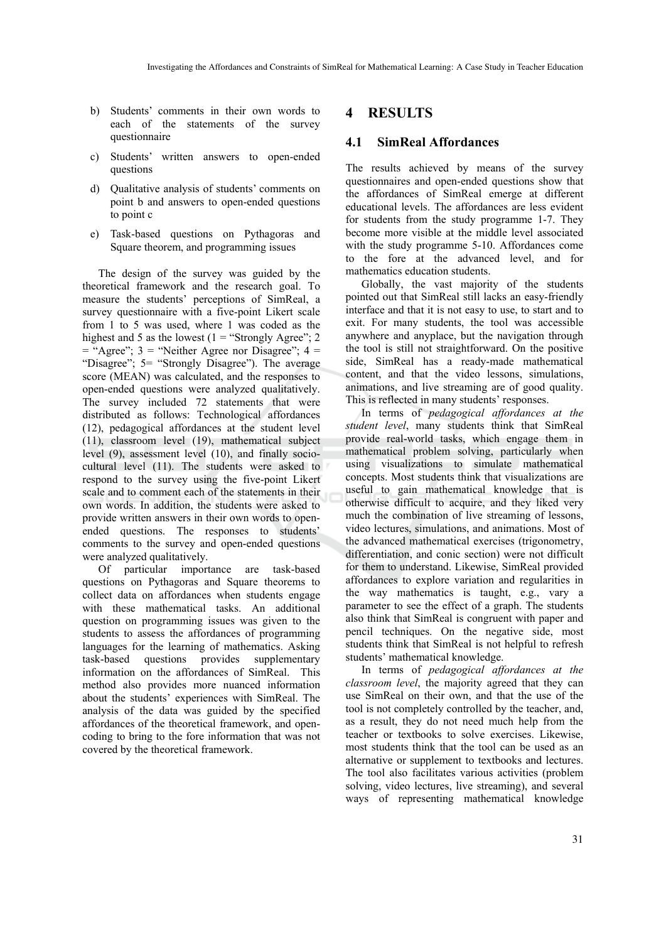- b) Students' comments in their own words to each of the statements of the survey questionnaire
- c) Students' written answers to open-ended questions
- d) Qualitative analysis of students' comments on point b and answers to open-ended questions to point c
- e) Task-based questions on Pythagoras and Square theorem, and programming issues

The design of the survey was guided by the theoretical framework and the research goal. To measure the students' perceptions of SimReal, a survey questionnaire with a five-point Likert scale from 1 to 5 was used, where 1 was coded as the highest and 5 as the lowest  $(1 -$  "Strongly Agree"; 2  $=$  "Agree"; 3 = "Neither Agree nor Disagree"; 4 = "Disagree"; 5= "Strongly Disagree"). The average score (MEAN) was calculated, and the responses to open-ended questions were analyzed qualitatively. The survey included 72 statements that were distributed as follows: Technological affordances (12), pedagogical affordances at the student level (11), classroom level (19), mathematical subject level (9), assessment level (10), and finally sociocultural level (11). The students were asked to respond to the survey using the five-point Likert scale and to comment each of the statements in their own words. In addition, the students were asked to provide written answers in their own words to openended questions. The responses to students' comments to the survey and open-ended questions were analyzed qualitatively.

Of particular importance are task-based questions on Pythagoras and Square theorems to collect data on affordances when students engage with these mathematical tasks. An additional question on programming issues was given to the students to assess the affordances of programming languages for the learning of mathematics. Asking task-based questions provides supplementary information on the affordances of SimReal. This method also provides more nuanced information about the students' experiences with SimReal. The analysis of the data was guided by the specified affordances of the theoretical framework, and opencoding to bring to the fore information that was not covered by the theoretical framework.

## **4 RESULTS**

## **4.1 SimReal Affordances**

The results achieved by means of the survey questionnaires and open-ended questions show that the affordances of SimReal emerge at different educational levels. The affordances are less evident for students from the study programme 1-7. They become more visible at the middle level associated with the study programme 5-10. Affordances come to the fore at the advanced level, and for mathematics education students.

Globally, the vast majority of the students pointed out that SimReal still lacks an easy-friendly interface and that it is not easy to use, to start and to exit. For many students, the tool was accessible anywhere and anyplace, but the navigation through the tool is still not straightforward. On the positive side, SimReal has a ready-made mathematical content, and that the video lessons, simulations, animations, and live streaming are of good quality. This is reflected in many students' responses.

In terms of *pedagogical affordances at the student level*, many students think that SimReal provide real-world tasks, which engage them in mathematical problem solving, particularly when using visualizations to simulate mathematical concepts. Most students think that visualizations are useful to gain mathematical knowledge that is otherwise difficult to acquire, and they liked very much the combination of live streaming of lessons, video lectures, simulations, and animations. Most of the advanced mathematical exercises (trigonometry, differentiation, and conic section) were not difficult for them to understand. Likewise, SimReal provided affordances to explore variation and regularities in the way mathematics is taught, e.g., vary a parameter to see the effect of a graph. The students also think that SimReal is congruent with paper and pencil techniques. On the negative side, most students think that SimReal is not helpful to refresh students' mathematical knowledge.

In terms of *pedagogical affordances at the classroom level*, the majority agreed that they can use SimReal on their own, and that the use of the tool is not completely controlled by the teacher, and, as a result, they do not need much help from the teacher or textbooks to solve exercises. Likewise, most students think that the tool can be used as an alternative or supplement to textbooks and lectures. The tool also facilitates various activities (problem solving, video lectures, live streaming), and several ways of representing mathematical knowledge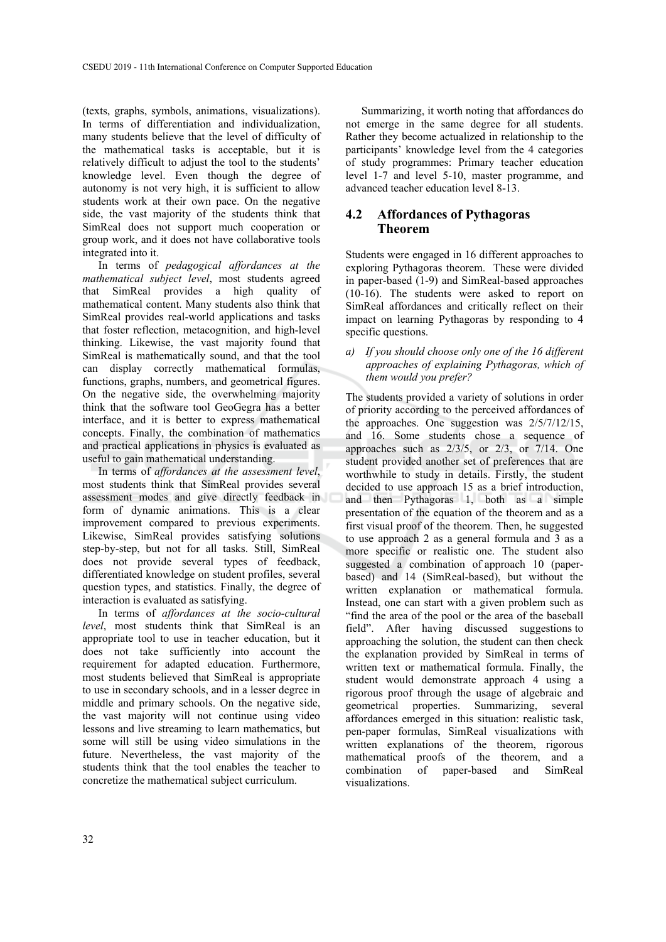(texts, graphs, symbols, animations, visualizations). In terms of differentiation and individualization, many students believe that the level of difficulty of the mathematical tasks is acceptable, but it is relatively difficult to adjust the tool to the students' knowledge level. Even though the degree of autonomy is not very high, it is sufficient to allow students work at their own pace. On the negative side, the vast majority of the students think that SimReal does not support much cooperation or group work, and it does not have collaborative tools integrated into it.

In terms of *pedagogical affordances at the mathematical subject level*, most students agreed that SimReal provides a high quality of mathematical content. Many students also think that SimReal provides real-world applications and tasks that foster reflection, metacognition, and high-level thinking. Likewise, the vast majority found that SimReal is mathematically sound, and that the tool can display correctly mathematical formulas, functions, graphs, numbers, and geometrical figures. On the negative side, the overwhelming majority think that the software tool GeoGegra has a better interface, and it is better to express mathematical concepts. Finally, the combination of mathematics and practical applications in physics is evaluated as useful to gain mathematical understanding.

In terms of *affordances at the assessment level*, most students think that SimReal provides several assessment modes and give directly feedback in form of dynamic animations. This is a clear improvement compared to previous experiments. Likewise, SimReal provides satisfying solutions step-by-step, but not for all tasks. Still, SimReal does not provide several types of feedback, differentiated knowledge on student profiles, several question types, and statistics. Finally, the degree of interaction is evaluated as satisfying.

In terms of *affordances at the socio-cultural level*, most students think that SimReal is an appropriate tool to use in teacher education, but it does not take sufficiently into account the requirement for adapted education. Furthermore, most students believed that SimReal is appropriate to use in secondary schools, and in a lesser degree in middle and primary schools. On the negative side, the vast majority will not continue using video lessons and live streaming to learn mathematics, but some will still be using video simulations in the future. Nevertheless, the vast majority of the students think that the tool enables the teacher to concretize the mathematical subject curriculum.

Summarizing, it worth noting that affordances do not emerge in the same degree for all students. Rather they become actualized in relationship to the participants' knowledge level from the 4 categories of study programmes: Primary teacher education level 1-7 and level 5-10, master programme, and advanced teacher education level 8-13.

## **4.2 Affordances of Pythagoras Theorem**

Students were engaged in 16 different approaches to exploring Pythagoras theorem. These were divided in paper-based (1-9) and SimReal-based approaches (10-16). The students were asked to report on SimReal affordances and critically reflect on their impact on learning Pythagoras by responding to 4 specific questions.

#### *a) If you should choose only one of the 16 different approaches of explaining Pythagoras, which of them would you prefer?*

The students provided a variety of solutions in order of priority according to the perceived affordances of the approaches. One suggestion was 2/5/7/12/15, and 16. Some students chose a sequence of approaches such as 2/3/5, or 2/3, or 7/14. One student provided another set of preferences that are worthwhile to study in details. Firstly, the student decided to use approach 15 as a brief introduction, and then Pythagoras 1, both as a simple presentation of the equation of the theorem and as a first visual proof of the theorem. Then, he suggested to use approach 2 as a general formula and 3 as a more specific or realistic one. The student also suggested a combination of approach 10 (paperbased) and 14 (SimReal-based), but without the written explanation or mathematical formula. Instead, one can start with a given problem such as "find the area of the pool or the area of the baseball field". After having discussed suggestions to approaching the solution, the student can then check the explanation provided by SimReal in terms of written text or mathematical formula. Finally, the student would demonstrate approach 4 using a rigorous proof through the usage of algebraic and geometrical properties. Summarizing, several affordances emerged in this situation: realistic task, pen-paper formulas, SimReal visualizations with written explanations of the theorem, rigorous mathematical proofs of the theorem, and a combination of paper-based and SimReal visualizations.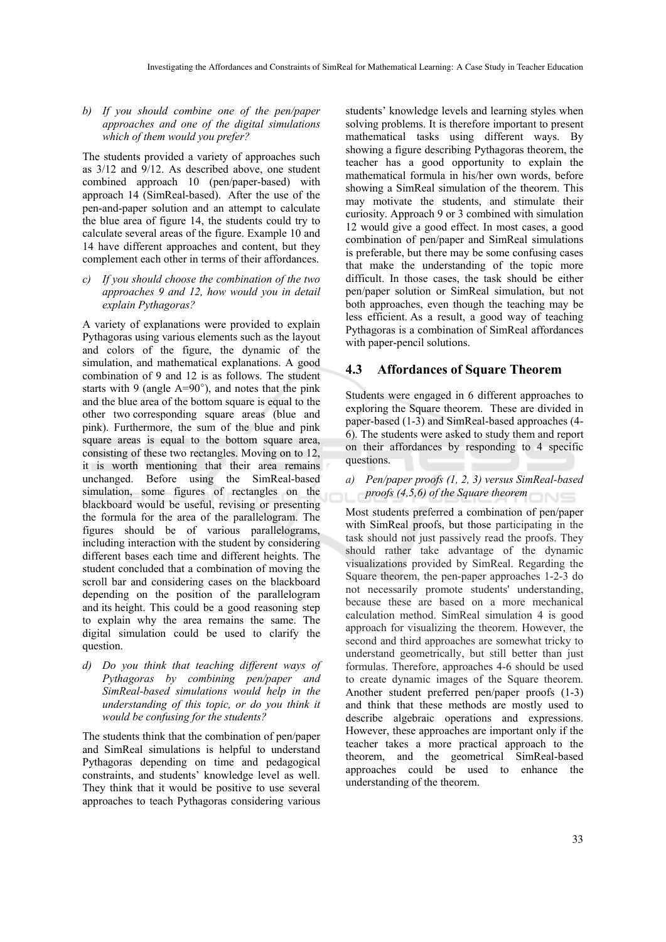*b) If you should combine one of the pen/paper approaches and one of the digital simulations which of them would you prefer?*

The students provided a variety of approaches such as 3/12 and 9/12. As described above, one student combined approach 10 (pen/paper-based) with approach 14 (SimReal-based). After the use of the pen-and-paper solution and an attempt to calculate the blue area of figure 14, the students could try to calculate several areas of the figure. Example 10 and 14 have different approaches and content, but they complement each other in terms of their affordances.

*c) If you should choose the combination of the two approaches 9 and 12, how would you in detail explain Pythagoras?*

A variety of explanations were provided to explain Pythagoras using various elements such as the layout and colors of the figure, the dynamic of the simulation, and mathematical explanations. A good combination of 9 and 12 is as follows. The student starts with 9 (angle  $A=90^\circ$ ), and notes that the pink and the blue area of the bottom square is equal to the other two corresponding square areas (blue and pink). Furthermore, the sum of the blue and pink square areas is equal to the bottom square area, consisting of these two rectangles. Moving on to 12, it is worth mentioning that their area remains unchanged. Before using the SimReal-based simulation, some figures of rectangles on the blackboard would be useful, revising or presenting the formula for the area of the parallelogram. The figures should be of various parallelograms, including interaction with the student by considering different bases each time and different heights. The student concluded that a combination of moving the scroll bar and considering cases on the blackboard depending on the position of the parallelogram and its height. This could be a good reasoning step to explain why the area remains the same. The digital simulation could be used to clarify the question.

*d) Do you think that teaching different ways of Pythagoras by combining pen/paper and SimReal-based simulations would help in the understanding of this topic, or do you think it would be confusing for the students?*

The students think that the combination of pen/paper and SimReal simulations is helpful to understand Pythagoras depending on time and pedagogical constraints, and students' knowledge level as well. They think that it would be positive to use several approaches to teach Pythagoras considering various

students' knowledge levels and learning styles when solving problems. It is therefore important to present mathematical tasks using different ways. By showing a figure describing Pythagoras theorem, the teacher has a good opportunity to explain the mathematical formula in his/her own words, before showing a SimReal simulation of the theorem. This may motivate the students, and stimulate their curiosity. Approach 9 or 3 combined with simulation 12 would give a good effect. In most cases, a good combination of pen/paper and SimReal simulations is preferable, but there may be some confusing cases that make the understanding of the topic more difficult. In those cases, the task should be either pen/paper solution or SimReal simulation, but not both approaches, even though the teaching may be less efficient. As a result, a good way of teaching Pythagoras is a combination of SimReal affordances with paper-pencil solutions.

## **4.3 Affordances of Square Theorem**

Students were engaged in 6 different approaches to exploring the Square theorem. These are divided in paper-based (1-3) and SimReal-based approaches (4- 6). The students were asked to study them and report on their affordances by responding to 4 specific questions.

*a) Pen/paper proofs (1, 2, 3) versus SimReal-based proofs (4,5,6) of the Square theorem*

Most students preferred a combination of pen/paper with SimReal proofs, but those participating in the task should not just passively read the proofs. They should rather take advantage of the dynamic visualizations provided by SimReal. Regarding the Square theorem, the pen-paper approaches 1-2-3 do not necessarily promote students' understanding, because these are based on a more mechanical calculation method. SimReal simulation 4 is good approach for visualizing the theorem. However, the second and third approaches are somewhat tricky to understand geometrically, but still better than just formulas. Therefore, approaches 4-6 should be used to create dynamic images of the Square theorem. Another student preferred pen/paper proofs (1-3) and think that these methods are mostly used to describe algebraic operations and expressions. However, these approaches are important only if the teacher takes a more practical approach to the theorem, and the geometrical SimReal-based approaches could be used to enhance the understanding of the theorem.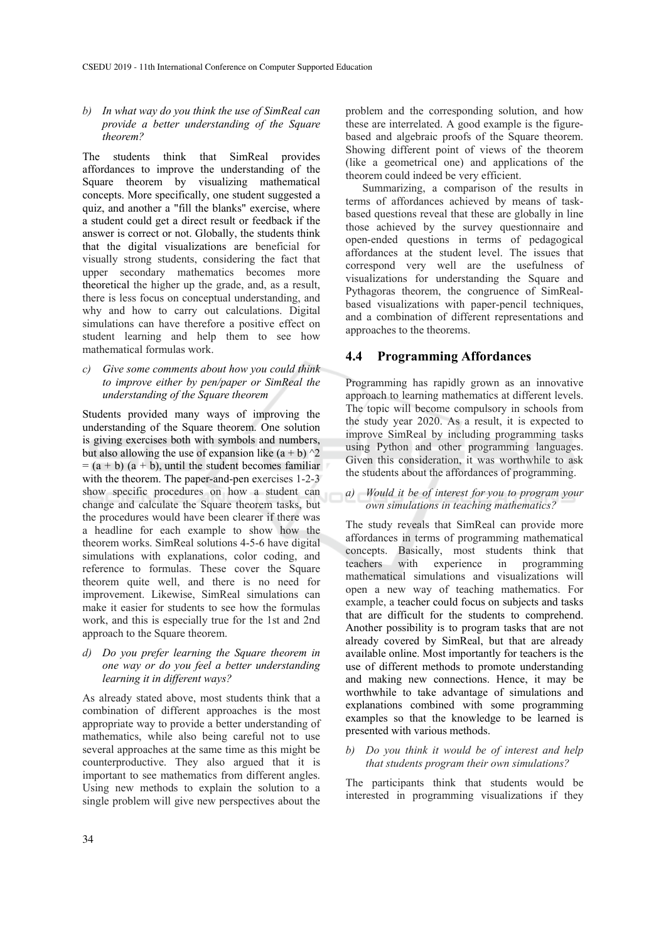#### *b) In what way do you think the use of SimReal can provide a better understanding of the Square theorem?*

The students think that SimReal provides affordances to improve the understanding of the Square theorem by visualizing mathematical concepts. More specifically, one student suggested a quiz, and another a "fill the blanks" exercise, where a student could get a direct result or feedback if the answer is correct or not. Globally, the students think that the digital visualizations are beneficial for visually strong students, considering the fact that upper secondary mathematics becomes more theoretical the higher up the grade, and, as a result, there is less focus on conceptual understanding, and why and how to carry out calculations. Digital simulations can have therefore a positive effect on student learning and help them to see how mathematical formulas work.

#### *c) Give some comments about how you could think to improve either by pen/paper or SimReal the understanding of the Square theorem*

Students provided many ways of improving the understanding of the Square theorem. One solution is giving exercises both with symbols and numbers, but also allowing the use of expansion like  $(a + b)$   $\hat{2}$  $= (a + b) (a + b)$ , until the student becomes familiar with the theorem. The paper-and-pen exercises 1-2-3 show specific procedures on how a student can change and calculate the Square theorem tasks, but the procedures would have been clearer if there was a headline for each example to show how the theorem works. SimReal solutions 4-5-6 have digital simulations with explanations, color coding, and reference to formulas. These cover the Square theorem quite well, and there is no need for improvement. Likewise, SimReal simulations can make it easier for students to see how the formulas work, and this is especially true for the 1st and 2nd approach to the Square theorem.

*d) Do you prefer learning the Square theorem in one way or do you feel a better understanding learning it in different ways?*

As already stated above, most students think that a combination of different approaches is the most appropriate way to provide a better understanding of mathematics, while also being careful not to use several approaches at the same time as this might be counterproductive. They also argued that it is important to see mathematics from different angles. Using new methods to explain the solution to a single problem will give new perspectives about the problem and the corresponding solution, and how these are interrelated. A good example is the figurebased and algebraic proofs of the Square theorem. Showing different point of views of the theorem (like a geometrical one) and applications of the theorem could indeed be very efficient.

Summarizing, a comparison of the results in terms of affordances achieved by means of taskbased questions reveal that these are globally in line those achieved by the survey questionnaire and open-ended questions in terms of pedagogical affordances at the student level. The issues that correspond very well are the usefulness of visualizations for understanding the Square and Pythagoras theorem, the congruence of SimRealbased visualizations with paper-pencil techniques, and a combination of different representations and approaches to the theorems.

## **4.4 Programming Affordances**

Programming has rapidly grown as an innovative approach to learning mathematics at different levels. The topic will become compulsory in schools from the study year 2020. As a result, it is expected to improve SimReal by including programming tasks using Python and other programming languages. Given this consideration, it was worthwhile to ask the students about the affordances of programming.

#### *a) Would it be of interest for you to program your own simulations in teaching mathematics?*

The study reveals that SimReal can provide more affordances in terms of programming mathematical concepts. Basically, most students think that teachers with experience in programming mathematical simulations and visualizations will open a new way of teaching mathematics. For example, a teacher could focus on subjects and tasks that are difficult for the students to comprehend. Another possibility is to program tasks that are not already covered by SimReal, but that are already available online. Most importantly for teachers is the use of different methods to promote understanding and making new connections. Hence, it may be worthwhile to take advantage of simulations and explanations combined with some programming examples so that the knowledge to be learned is presented with various methods.

#### *b) Do you think it would be of interest and help that students program their own simulations?*

The participants think that students would be interested in programming visualizations if they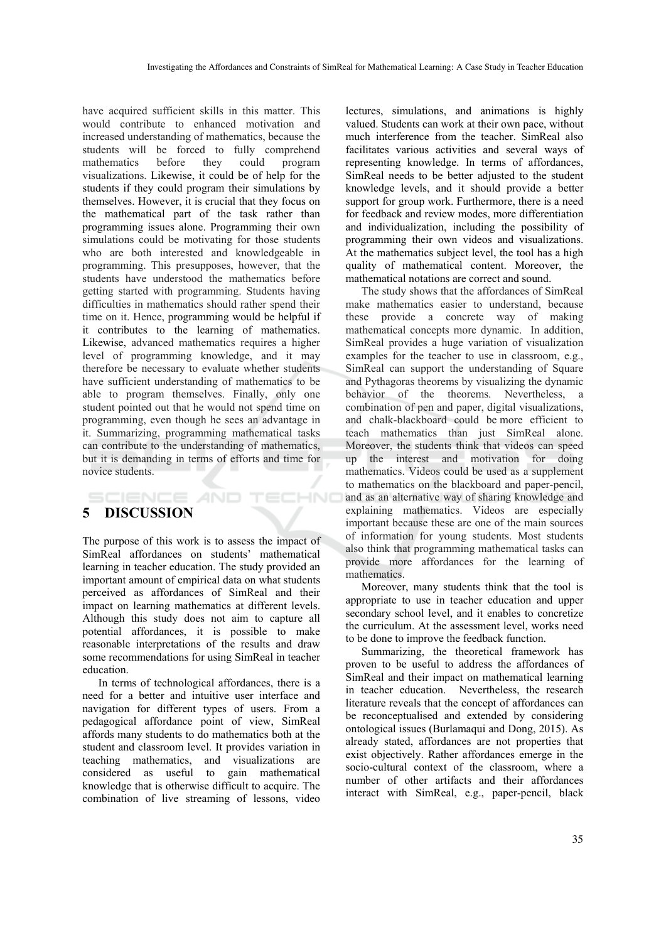have acquired sufficient skills in this matter. This would contribute to enhanced motivation and increased understanding of mathematics, because the students will be forced to fully comprehend mathematics before they could program visualizations. Likewise, it could be of help for the students if they could program their simulations by themselves. However, it is crucial that they focus on the mathematical part of the task rather than programming issues alone. Programming their own simulations could be motivating for those students who are both interested and knowledgeable in programming. This presupposes, however, that the students have understood the mathematics before getting started with programming. Students having difficulties in mathematics should rather spend their time on it. Hence, programming would be helpful if it contributes to the learning of mathematics. Likewise, advanced mathematics requires a higher level of programming knowledge, and it may therefore be necessary to evaluate whether students have sufficient understanding of mathematics to be able to program themselves. Finally, only one student pointed out that he would not spend time on programming, even though he sees an advantage in it. Summarizing, programming mathematical tasks can contribute to the understanding of mathematics, but it is demanding in terms of efforts and time for novice students.

## **5 DISCUSSION**

**SCIENCE AND** 

The purpose of this work is to assess the impact of SimReal affordances on students' mathematical learning in teacher education. The study provided an important amount of empirical data on what students perceived as affordances of SimReal and their impact on learning mathematics at different levels. Although this study does not aim to capture all potential affordances, it is possible to make reasonable interpretations of the results and draw some recommendations for using SimReal in teacher education.

TECHNO

In terms of technological affordances, there is a need for a better and intuitive user interface and navigation for different types of users. From a pedagogical affordance point of view, SimReal affords many students to do mathematics both at the student and classroom level. It provides variation in teaching mathematics, and visualizations are considered as useful to gain mathematical knowledge that is otherwise difficult to acquire. The combination of live streaming of lessons, video

lectures, simulations, and animations is highly valued. Students can work at their own pace, without much interference from the teacher. SimReal also facilitates various activities and several ways of representing knowledge. In terms of affordances, SimReal needs to be better adjusted to the student knowledge levels, and it should provide a better support for group work. Furthermore, there is a need for feedback and review modes, more differentiation and individualization, including the possibility of programming their own videos and visualizations. At the mathematics subject level, the tool has a high quality of mathematical content. Moreover, the mathematical notations are correct and sound.

The study shows that the affordances of SimReal make mathematics easier to understand, because these provide a concrete way of making mathematical concepts more dynamic. In addition, SimReal provides a huge variation of visualization examples for the teacher to use in classroom, e.g., SimReal can support the understanding of Square and Pythagoras theorems by visualizing the dynamic behavior of the theorems. Nevertheless, a combination of pen and paper, digital visualizations, and chalk-blackboard could be more efficient to teach mathematics than just SimReal alone. Moreover, the students think that videos can speed up the interest and motivation for doing mathematics. Videos could be used as a supplement to mathematics on the blackboard and paper-pencil, and as an alternative way of sharing knowledge and explaining mathematics. Videos are especially important because these are one of the main sources of information for young students. Most students also think that programming mathematical tasks can provide more affordances for the learning of mathematics.

Moreover, many students think that the tool is appropriate to use in teacher education and upper secondary school level, and it enables to concretize the curriculum. At the assessment level, works need to be done to improve the feedback function.

Summarizing, the theoretical framework has proven to be useful to address the affordances of SimReal and their impact on mathematical learning in teacher education. Nevertheless, the research literature reveals that the concept of affordances can be reconceptualised and extended by considering ontological issues (Burlamaqui and Dong, 2015). As already stated, affordances are not properties that exist objectively. Rather affordances emerge in the socio-cultural context of the classroom, where a number of other artifacts and their affordances interact with SimReal, e.g., paper-pencil, black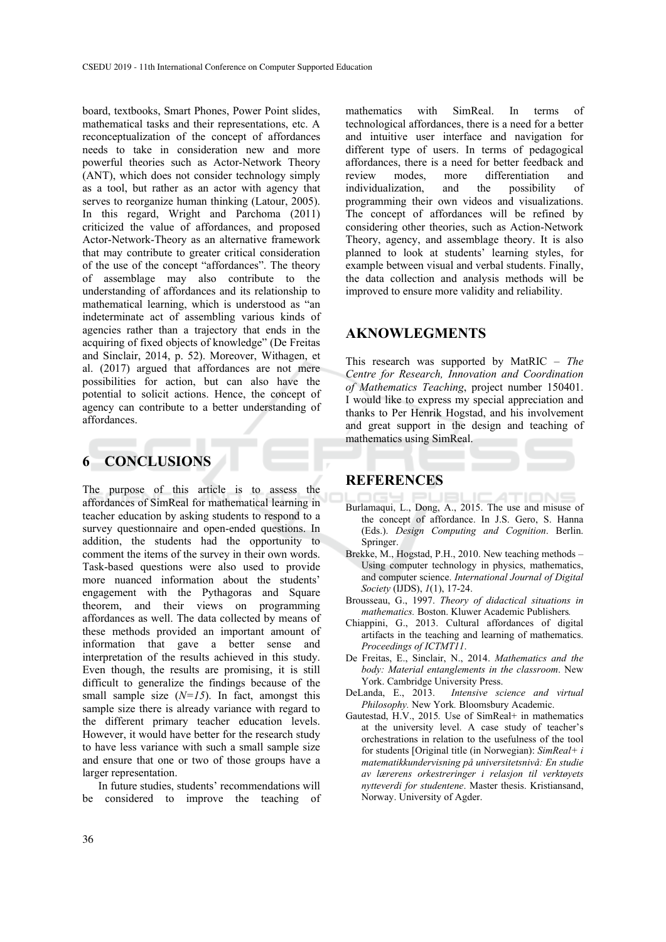board, textbooks, Smart Phones, Power Point slides, mathematical tasks and their representations, etc. A reconceptualization of the concept of affordances needs to take in consideration new and more powerful theories such as Actor-Network Theory (ANT), which does not consider technology simply as a tool, but rather as an actor with agency that serves to reorganize human thinking (Latour, 2005). In this regard, Wright and Parchoma (2011) criticized the value of affordances, and proposed Actor-Network-Theory as an alternative framework that may contribute to greater critical consideration of the use of the concept "affordances". The theory of assemblage may also contribute to the understanding of affordances and its relationship to mathematical learning, which is understood as "an indeterminate act of assembling various kinds of agencies rather than a trajectory that ends in the acquiring of fixed objects of knowledge" (De Freitas and Sinclair, 2014, p. 52). Moreover, Withagen, et al. (2017) argued that affordances are not mere possibilities for action, but can also have the potential to solicit actions. Hence, the concept of agency can contribute to a better understanding of affordances.

## **6 CONCLUSIONS**

The purpose of this article is to assess the affordances of SimReal for mathematical learning in teacher education by asking students to respond to a survey questionnaire and open-ended questions. In addition, the students had the opportunity to comment the items of the survey in their own words. Task-based questions were also used to provide more nuanced information about the students' engagement with the Pythagoras and Square theorem, and their views on programming affordances as well. The data collected by means of these methods provided an important amount of information that gave a better sense and interpretation of the results achieved in this study. Even though, the results are promising, it is still difficult to generalize the findings because of the small sample size  $(N=15)$ . In fact, amongst this sample size there is already variance with regard to the different primary teacher education levels. However, it would have better for the research study to have less variance with such a small sample size and ensure that one or two of those groups have a larger representation.

In future studies, students' recommendations will be considered to improve the teaching of

mathematics with SimReal. In terms of technological affordances, there is a need for a better and intuitive user interface and navigation for different type of users. In terms of pedagogical affordances, there is a need for better feedback and review modes, more differentiation and individualization, and the possibility of programming their own videos and visualizations. The concept of affordances will be refined by considering other theories, such as Action-Network Theory, agency, and assemblage theory. It is also planned to look at students' learning styles, for example between visual and verbal students. Finally, the data collection and analysis methods will be improved to ensure more validity and reliability.

## **AKNOWLEGMENTS**

This research was supported by MatRIC – *The Centre for Research, Innovation and Coordination of Mathematics Teaching*, project number 150401. I would like to express my special appreciation and thanks to Per Henrik Hogstad, and his involvement and great support in the design and teaching of mathematics using SimReal.

#### **REFERENCES**

- Burlamaqui, L., Dong, A., 2015. The use and misuse of the concept of affordance. In J.S. Gero, S. Hanna (Eds.). *Design Computing and Cognition*. Berlin. Springer.
- Brekke, M., Hogstad, P.H., 2010. New teaching methods Using computer technology in physics, mathematics, and computer science. *International Journal of Digital Society* (IJDS), *1*(1), 17-24.
- Brousseau, G., 1997. *Theory of didactical situations in mathematics.* Boston. Kluwer Academic Publishers*.*
- Chiappini, G., 2013. Cultural affordances of digital artifacts in the teaching and learning of mathematics. *Proceedings of ICTMT11*.
- De Freitas, E., Sinclair, N., 2014. *Mathematics and the body: Material entanglements in the classroom*. New York. Cambridge University Press.
- DeLanda, E., 2013. *Intensive science and virtual Philosophy.* New York*.* Bloomsbury Academic.
- Gautestad, H.V., 2015*.* Use of SimReal+ in mathematics at the university level. A case study of teacher's orchestrations in relation to the usefulness of the tool for students [Original title (in Norwegian): *SimReal+ i matematikkundervisning på universitetsnivå: En studie av lærerens orkestreringer i relasjon til verktøyets nytteverdi for studentene*. Master thesis. Kristiansand, Norway. University of Agder.